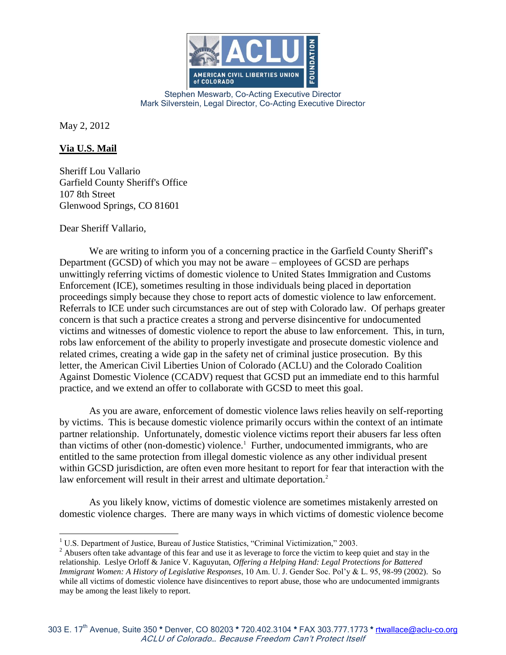

Stephen Meswarb, Co-Acting Executive Director Mark Silverstein, Legal Director, Co-Acting Executive Director

May 2, 2012

## **Via U.S. Mail**

Sheriff Lou Vallario Garfield County Sheriff's Office 107 8th Street Glenwood Springs, CO 81601

Dear Sheriff Vallario,

We are writing to inform you of a concerning practice in the Garfield County Sheriff's Department (GCSD) of which you may not be aware – employees of GCSD are perhaps unwittingly referring victims of domestic violence to United States Immigration and Customs Enforcement (ICE), sometimes resulting in those individuals being placed in deportation proceedings simply because they chose to report acts of domestic violence to law enforcement. Referrals to ICE under such circumstances are out of step with Colorado law. Of perhaps greater concern is that such a practice creates a strong and perverse disincentive for undocumented victims and witnesses of domestic violence to report the abuse to law enforcement. This, in turn, robs law enforcement of the ability to properly investigate and prosecute domestic violence and related crimes, creating a wide gap in the safety net of criminal justice prosecution. By this letter, the American Civil Liberties Union of Colorado (ACLU) and the Colorado Coalition Against Domestic Violence (CCADV) request that GCSD put an immediate end to this harmful practice, and we extend an offer to collaborate with GCSD to meet this goal.

As you are aware, enforcement of domestic violence laws relies heavily on self-reporting by victims. This is because domestic violence primarily occurs within the context of an intimate partner relationship. Unfortunately, domestic violence victims report their abusers far less often than victims of other (non-domestic) violence.<sup>1</sup> Further, undocumented immigrants, who are entitled to the same protection from illegal domestic violence as any other individual present within GCSD jurisdiction, are often even more hesitant to report for fear that interaction with the law enforcement will result in their arrest and ultimate deportation.<sup>2</sup>

As you likely know, victims of domestic violence are sometimes mistakenly arrested on domestic violence charges. There are many ways in which victims of domestic violence become

 $\overline{a}$ <sup>1</sup> U.S. Department of Justice, Bureau of Justice Statistics, "Criminal Victimization," 2003.

<sup>&</sup>lt;sup>2</sup> Abusers often take advantage of this fear and use it as leverage to force the victim to keep quiet and stay in the relationship. Leslye Orloff & Janice V. Kaguyutan, *Offering a Helping Hand: Legal Protections for Battered Immigrant Women: A History of Legislative Responses*, 10 Am. U. J. Gender Soc. Pol'y & L. 95, 98-99 (2002). So while all victims of domestic violence have disincentives to report abuse, those who are undocumented immigrants may be among the least likely to report.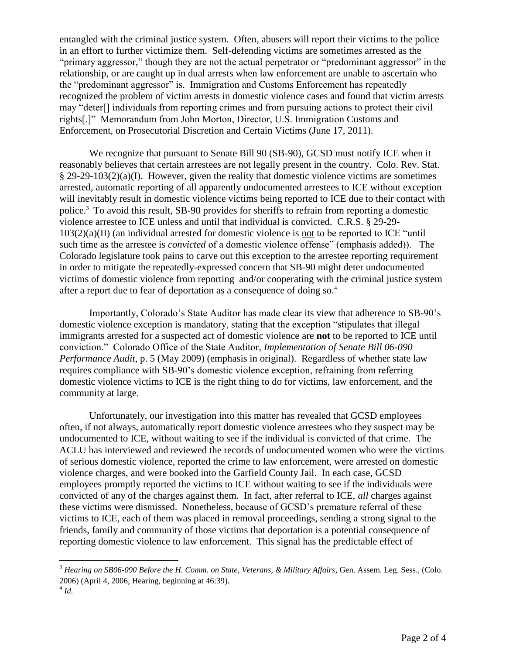entangled with the criminal justice system. Often, abusers will report their victims to the police in an effort to further victimize them. Self-defending victims are sometimes arrested as the "primary aggressor," though they are not the actual perpetrator or "predominant aggressor" in the relationship, or are caught up in dual arrests when law enforcement are unable to ascertain who the "predominant aggressor" is. Immigration and Customs Enforcement has repeatedly recognized the problem of victim arrests in domestic violence cases and found that victim arrests may "deter[] individuals from reporting crimes and from pursuing actions to protect their civil rights[.]" Memorandum from John Morton, Director, U.S. Immigration Customs and Enforcement, on Prosecutorial Discretion and Certain Victims (June 17, 2011).

We recognize that pursuant to Senate Bill 90 (SB-90), GCSD must notify ICE when it reasonably believes that certain arrestees are not legally present in the country. Colo. Rev. Stat.  $§$  29-29-103(2)(a)(I). However, given the reality that domestic violence victims are sometimes arrested, automatic reporting of all apparently undocumented arrestees to ICE without exception will inevitably result in domestic violence victims being reported to ICE due to their contact with police.<sup>3</sup> To avoid this result, SB-90 provides for sheriffs to refrain from reporting a domestic violence arrestee to ICE unless and until that individual is convicted. C.R.S. § 29-29- 103(2)(a)(II) (an individual arrested for domestic violence is not to be reported to ICE "until such time as the arrestee is *convicted* of a domestic violence offense" (emphasis added)). The Colorado legislature took pains to carve out this exception to the arrestee reporting requirement in order to mitigate the repeatedly-expressed concern that SB-90 might deter undocumented victims of domestic violence from reporting and/or cooperating with the criminal justice system after a report due to fear of deportation as a consequence of doing so.<sup>4</sup>

Importantly, Colorado's State Auditor has made clear its view that adherence to SB-90's domestic violence exception is mandatory, stating that the exception "stipulates that illegal immigrants arrested for a suspected act of domestic violence are **not** to be reported to ICE until conviction." Colorado Office of the State Auditor, *Implementation of Senate Bill 06-090 Performance Audit*, p. 5 (May 2009) (emphasis in original). Regardless of whether state law requires compliance with SB-90's domestic violence exception, refraining from referring domestic violence victims to ICE is the right thing to do for victims, law enforcement, and the community at large.

Unfortunately, our investigation into this matter has revealed that GCSD employees often, if not always, automatically report domestic violence arrestees who they suspect may be undocumented to ICE, without waiting to see if the individual is convicted of that crime. The ACLU has interviewed and reviewed the records of undocumented women who were the victims of serious domestic violence, reported the crime to law enforcement, were arrested on domestic violence charges, and were booked into the Garfield County Jail. In each case, GCSD employees promptly reported the victims to ICE without waiting to see if the individuals were convicted of any of the charges against them. In fact, after referral to ICE, *all* charges against these victims were dismissed. Nonetheless, because of GCSD's premature referral of these victims to ICE, each of them was placed in removal proceedings, sending a strong signal to the friends, family and community of those victims that deportation is a potential consequence of reporting domestic violence to law enforcement. This signal has the predictable effect of

 $\overline{a}$ 

<sup>3</sup> *Hearing on SB06-090 Before the H. Comm. on State, Veterans, & Military Affairs*, Gen. Assem. Leg. Sess., (Colo. 2006) (April 4, 2006, Hearing, beginning at 46:39).

<sup>4</sup> *Id.*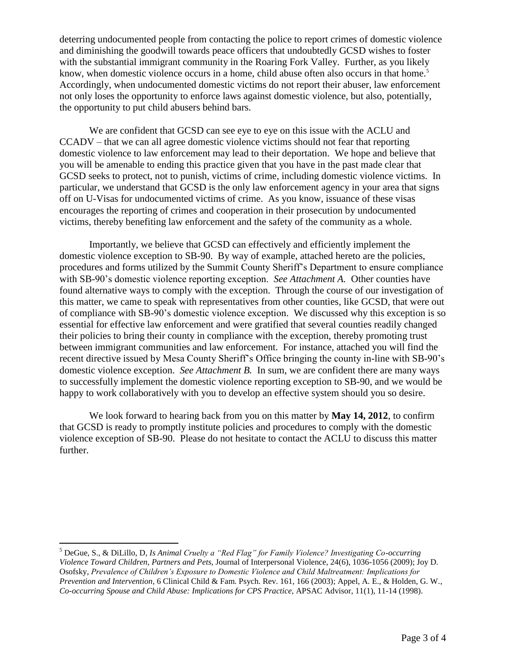deterring undocumented people from contacting the police to report crimes of domestic violence and diminishing the goodwill towards peace officers that undoubtedly GCSD wishes to foster with the substantial immigrant community in the Roaring Fork Valley. Further, as you likely know, when domestic violence occurs in a home, child abuse often also occurs in that home.<sup>5</sup> Accordingly, when undocumented domestic victims do not report their abuser, law enforcement not only loses the opportunity to enforce laws against domestic violence, but also, potentially, the opportunity to put child abusers behind bars.

We are confident that GCSD can see eye to eye on this issue with the ACLU and CCADV – that we can all agree domestic violence victims should not fear that reporting domestic violence to law enforcement may lead to their deportation. We hope and believe that you will be amenable to ending this practice given that you have in the past made clear that GCSD seeks to protect, not to punish, victims of crime, including domestic violence victims. In particular, we understand that GCSD is the only law enforcement agency in your area that signs off on U-Visas for undocumented victims of crime. As you know, issuance of these visas encourages the reporting of crimes and cooperation in their prosecution by undocumented victims, thereby benefiting law enforcement and the safety of the community as a whole.

Importantly, we believe that GCSD can effectively and efficiently implement the domestic violence exception to SB-90. By way of example, attached hereto are the policies, procedures and forms utilized by the Summit County Sheriff's Department to ensure compliance with SB-90's domestic violence reporting exception. *See Attachment A*. Other counties have found alternative ways to comply with the exception. Through the course of our investigation of this matter, we came to speak with representatives from other counties, like GCSD, that were out of compliance with SB-90's domestic violence exception. We discussed why this exception is so essential for effective law enforcement and were gratified that several counties readily changed their policies to bring their county in compliance with the exception, thereby promoting trust between immigrant communities and law enforcement. For instance, attached you will find the recent directive issued by Mesa County Sheriff's Office bringing the county in-line with SB-90's domestic violence exception. *See Attachment B.* In sum, we are confident there are many ways to successfully implement the domestic violence reporting exception to SB-90, and we would be happy to work collaboratively with you to develop an effective system should you so desire.

We look forward to hearing back from you on this matter by **May 14, 2012**, to confirm that GCSD is ready to promptly institute policies and procedures to comply with the domestic violence exception of SB-90. Please do not hesitate to contact the ACLU to discuss this matter further.

 $\overline{a}$ 

<sup>5</sup> DeGue, S., & DiLillo, D, *Is Animal Cruelty a "Red Flag" for Family Violence? Investigating Co-occurring Violence Toward Children, Partners and Pets*, Journal of Interpersonal Violence, 24(6), 1036-1056 (2009); Joy D. Osofsky, *Prevalence of Children's Exposure to Domestic Violence and Child Maltreatment: Implications for Prevention and Intervention*, 6 Clinical Child & Fam. Psych. Rev. 161, 166 (2003); Appel, A. E., & Holden, G. W., *Co-occurring Spouse and Child Abuse: Implications for CPS Practice*, APSAC Advisor, 11(1), 11-14 (1998).